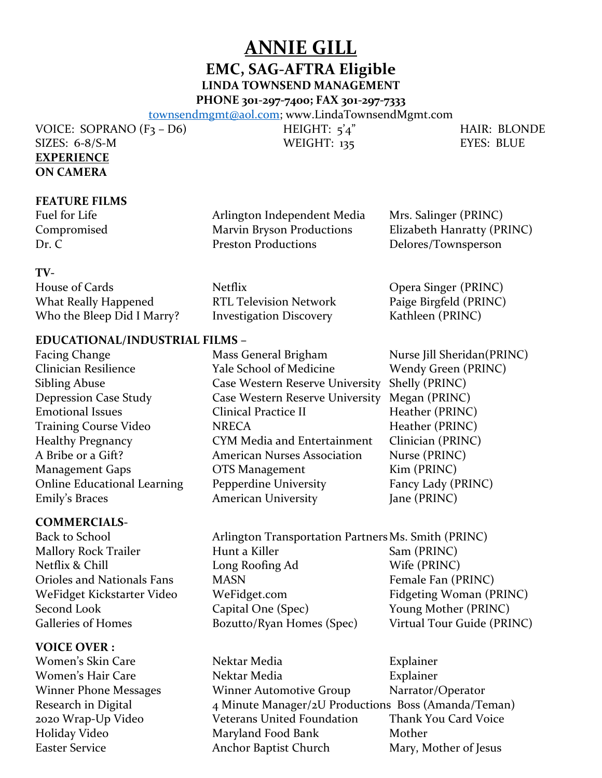**ANNIE GILL**

# **EMC, SAG-AFTRA Eligible**

**LINDA TOWNSEND MANAGEMENT**

**PHONE 301-297-7400; FAX 301-297-7333**

[townsendmgmt@aol.com;](mailto:townsendmgmt@aol.com) www.LindaTownsendMgmt.com

VOICE: SOPRANO (F3 – D6) HEIGHT: 5'4" HAIR: BLONDE SIZES: 6-8/S-M WEIGHT: 135 EYES: BLUE **EXPERIENCE ON CAMERA**

# **FEATURE FILMS**

Fuel for Life **Arlington Independent Media** Mrs. Salinger (PRINC) Compromised Marvin Bryson Productions Elizabeth Hanratty (PRINC) Dr. C Preston Productions Delores/Townsperson

#### **TV-**

House of Cards **Netflix** Netflix **Communist Communist Communist Communist Communist Communist Communist Communist Communist Communist Communist Communist Communist Communist Communist Communist Communist Communist Communis** What Really Happened RTL Television Network Paige Birgfeld (PRINC) Who the Bleep Did I Marry? Investigation Discovery Kathleen (PRINC)

# **EDUCATIONAL/INDUSTRIAL FILMS –**

Facing Change Mass General Brigham Nurse Jill Sheridan(PRINC)

#### **COMMERCIALS-**

# **VOICE OVER :**

Clinician Resilience Yale School of Medicine Wendy Green (PRINC) Sibling Abuse Case Western Reserve University Shelly (PRINC) Depression Case Study Case Western Reserve University Megan (PRINC) Emotional Issues Clinical Practice II Heather (PRINC) Training Course Video **NRECA** Heather (PRINC) Healthy Pregnancy CYM Media and Entertainment Clinician (PRINC) A Bribe or a Gift? American Nurses Association Nurse (PRINC) Management Gaps **OTS Management** Kim (PRINC) Online Educational Learning Pepperdine University Fancy Lady (PRINC) Emily's Braces **American University** Jane (PRINC)

Back to School **Arlington Transportation Partners Ms. Smith (PRINC)** Mallory Rock Trailer **Hunt a Killer** Sam (PRINC) Netflix & Chill Long Roofing Ad Wife (PRINC) Orioles and Nationals Fans MASN Female Fan (PRINC) WeFidget Kickstarter Video WeFidget.com Fidgeting Woman (PRINC) Second Look Capital One (Spec) Young Mother (PRINC) Galleries of Homes **Bozutto/Ryan Homes (Spec)** Virtual Tour Guide (PRINC)

Women's Skin Care **Nektar Media** Explainer Women's Hair Care **Nektar Media** Explainer Winner Phone Messages Winner Automotive Group Narrator/Operator Research in Digital 4 Minute Manager/2U Productions Boss (Amanda/Teman) 2020 Wrap-Up Video Veterans United Foundation Thank You Card Voice Holiday Video Maryland Food Bank Mother Easter Service **Anchor Baptist Church** Mary, Mother of Jesus